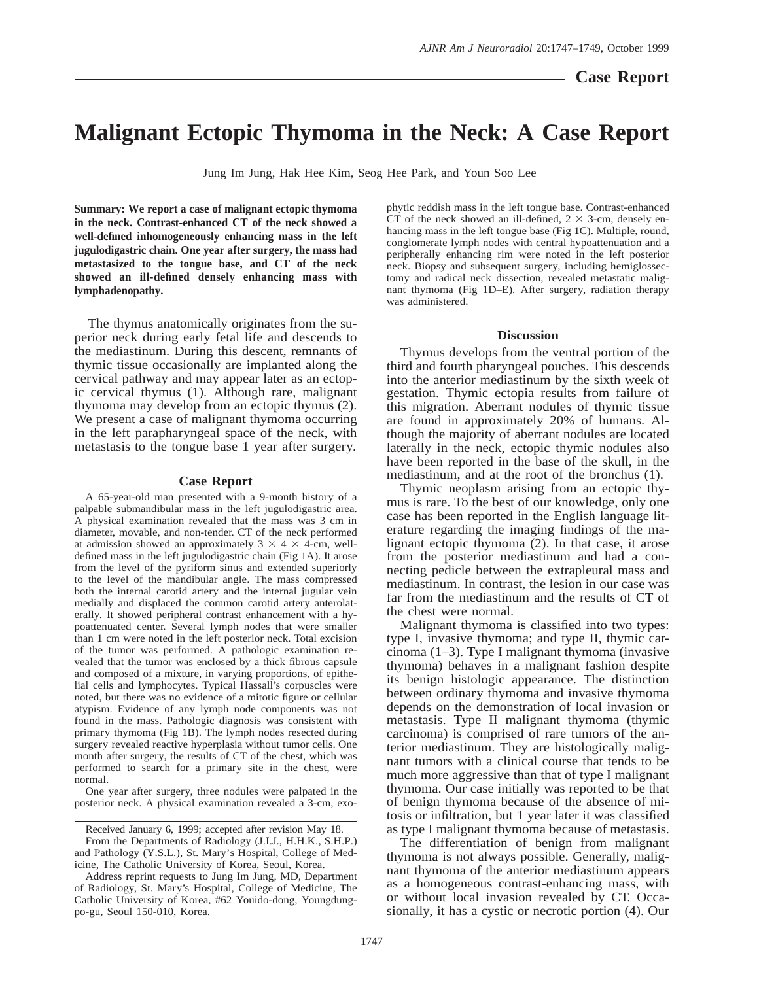## **Malignant Ectopic Thymoma in the Neck: A Case Report**

Jung Im Jung, Hak Hee Kim, Seog Hee Park, and Youn Soo Lee

**Summary: We report a case of malignant ectopic thymoma in the neck. Contrast-enhanced CT of the neck showed a well-defined inhomogeneously enhancing mass in the left jugulodigastric chain. One year after surgery, the mass had metastasized to the tongue base, and CT of the neck showed an ill-defined densely enhancing mass with lymphadenopathy.**

The thymus anatomically originates from the superior neck during early fetal life and descends to the mediastinum. During this descent, remnants of thymic tissue occasionally are implanted along the cervical pathway and may appear later as an ectopic cervical thymus (1). Although rare, malignant thymoma may develop from an ectopic thymus (2). We present a case of malignant thymoma occurring in the left parapharyngeal space of the neck, with metastasis to the tongue base 1 year after surgery.

## **Case Report**

A 65-year-old man presented with a 9-month history of a palpable submandibular mass in the left jugulodigastric area. A physical examination revealed that the mass was 3 cm in diameter, movable, and non-tender. CT of the neck performed at admission showed an approximately  $3 \times 4 \times 4$ -cm, welldefined mass in the left jugulodigastric chain (Fig 1A). It arose from the level of the pyriform sinus and extended superiorly to the level of the mandibular angle. The mass compressed both the internal carotid artery and the internal jugular vein medially and displaced the common carotid artery anterolaterally. It showed peripheral contrast enhancement with a hypoattenuated center. Several lymph nodes that were smaller than 1 cm were noted in the left posterior neck. Total excision of the tumor was performed. A pathologic examination revealed that the tumor was enclosed by a thick fibrous capsule and composed of a mixture, in varying proportions, of epithelial cells and lymphocytes. Typical Hassall's corpuscles were noted, but there was no evidence of a mitotic figure or cellular atypism. Evidence of any lymph node components was not found in the mass. Pathologic diagnosis was consistent with primary thymoma (Fig 1B). The lymph nodes resected during surgery revealed reactive hyperplasia without tumor cells. One month after surgery, the results of CT of the chest, which was performed to search for a primary site in the chest, were normal.

One year after surgery, three nodules were palpated in the posterior neck. A physical examination revealed a 3-cm, exo-

From the Departments of Radiology (J.I.J., H.H.K., S.H.P.) and Pathology (Y.S.L.), St. Mary's Hospital, College of Medicine, The Catholic University of Korea, Seoul, Korea.

Address reprint requests to Jung Im Jung, MD, Department of Radiology, St. Mary's Hospital, College of Medicine, The Catholic University of Korea, #62 Youido-dong, Youngdungpo-gu, Seoul 150-010, Korea.

phytic reddish mass in the left tongue base. Contrast-enhanced CT of the neck showed an ill-defined,  $2 \times 3$ -cm, densely enhancing mass in the left tongue base (Fig 1C). Multiple, round, conglomerate lymph nodes with central hypoattenuation and a peripherally enhancing rim were noted in the left posterior neck. Biopsy and subsequent surgery, including hemiglossectomy and radical neck dissection, revealed metastatic malignant thymoma (Fig 1D–E). After surgery, radiation therapy was administered.

## **Discussion**

Thymus develops from the ventral portion of the third and fourth pharyngeal pouches. This descends into the anterior mediastinum by the sixth week of gestation. Thymic ectopia results from failure of this migration. Aberrant nodules of thymic tissue are found in approximately 20% of humans. Although the majority of aberrant nodules are located laterally in the neck, ectopic thymic nodules also have been reported in the base of the skull, in the mediastinum, and at the root of the bronchus (1).

Thymic neoplasm arising from an ectopic thymus is rare. To the best of our knowledge, only one case has been reported in the English language literature regarding the imaging findings of the malignant ectopic thymoma (2). In that case, it arose from the posterior mediastinum and had a connecting pedicle between the extrapleural mass and mediastinum. In contrast, the lesion in our case was far from the mediastinum and the results of CT of the chest were normal.

Malignant thymoma is classified into two types: type I, invasive thymoma; and type II, thymic carcinoma (1–3). Type I malignant thymoma (invasive thymoma) behaves in a malignant fashion despite its benign histologic appearance. The distinction between ordinary thymoma and invasive thymoma depends on the demonstration of local invasion or metastasis. Type II malignant thymoma (thymic carcinoma) is comprised of rare tumors of the anterior mediastinum. They are histologically malignant tumors with a clinical course that tends to be much more aggressive than that of type I malignant thymoma. Our case initially was reported to be that of benign thymoma because of the absence of mitosis or infiltration, but 1 year later it was classified as type I malignant thymoma because of metastasis.

The differentiation of benign from malignant thymoma is not always possible. Generally, malignant thymoma of the anterior mediastinum appears as a homogeneous contrast-enhancing mass, with or without local invasion revealed by CT. Occasionally, it has a cystic or necrotic portion (4). Our

Received January 6, 1999; accepted after revision May 18.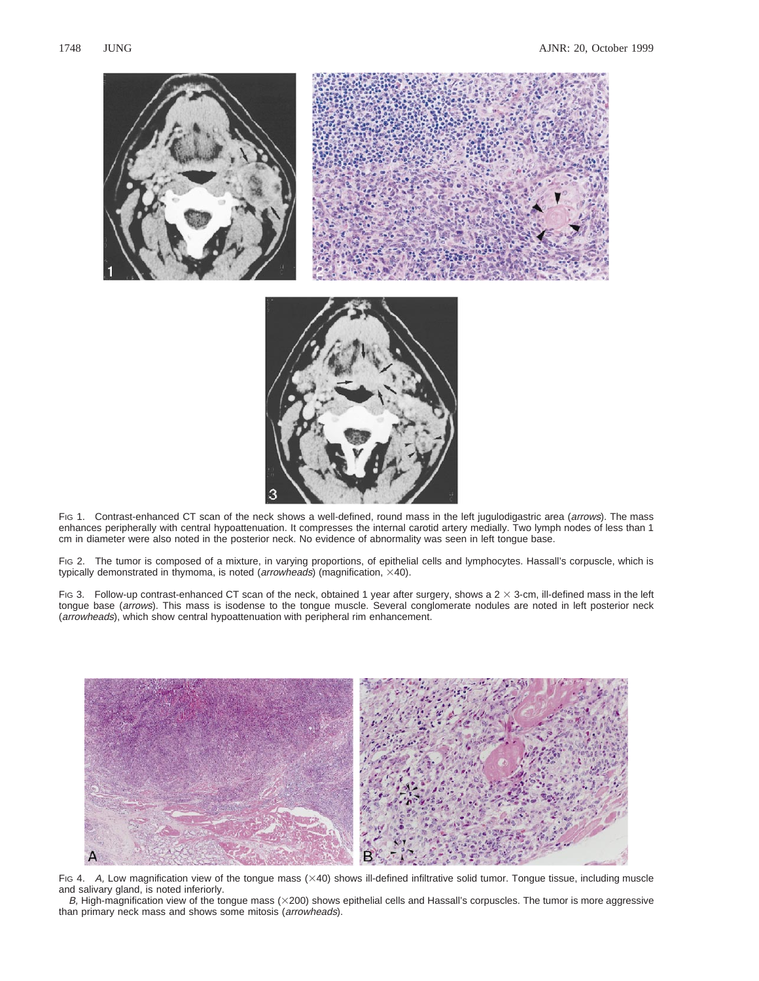

FIG 1. Contrast-enhanced CT scan of the neck shows a well-defined, round mass in the left jugulodigastric area (arrows). The mass enhances peripherally with central hypoattenuation. It compresses the internal carotid artery medially. Two lymph nodes of less than 1 cm in diameter were also noted in the posterior neck. No evidence of abnormality was seen in left tongue base.

FIG 2. The tumor is composed of a mixture, in varying proportions, of epithelial cells and lymphocytes. Hassall's corpuscle, which is typically demonstrated in thymoma, is noted ( $arrow$   $\overline{a}$  magnification,  $\times$ 40).

Fig 3. Follow-up contrast-enhanced CT scan of the neck, obtained 1 year after surgery, shows a  $2 \times 3$ -cm, ill-defined mass in the left tongue base (arrows). This mass is isodense to the tongue muscle. Several conglomerate nodules are noted in left posterior neck (arrowheads), which show central hypoattenuation with peripheral rim enhancement.



FIG 4. A, Low magnification view of the tongue mass (×40) shows ill-defined infiltrative solid tumor. Tongue tissue, including muscle and salivary gland, is noted inferiorly.

 $B$ , High-magnification view of the tongue mass ( $\times$ 200) shows epithelial cells and Hassall's corpuscles. The tumor is more aggressive than primary neck mass and shows some mitosis (arrowheads).